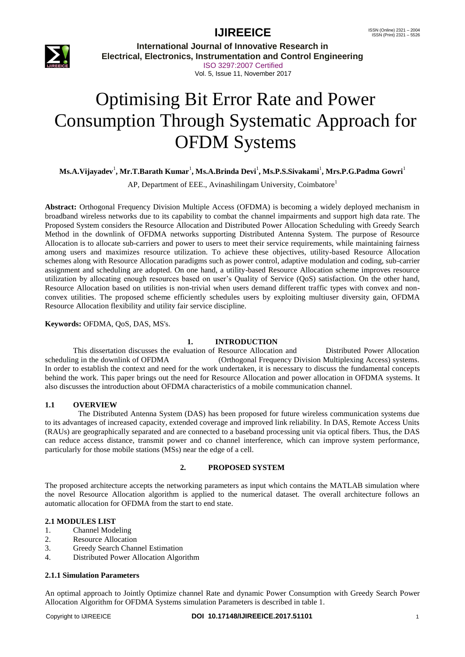

**International Journal of Innovative Research in Electrical, Electronics, Instrumentation and Control Engineering** ISO 3297:2007 Certified Vol. 5, Issue 11, November 2017

# Optimising Bit Error Rate and Power Consumption Through Systematic Approach for OFDM Systems

### $\mathbf{M}\mathbf{s}.\mathbf{A}.\mathbf{V}$ ijayadev<sup>1</sup>, Mr.T.Barath Kumar<sup>1</sup>, Ms.A.Brinda Devi<sup>1</sup>, Ms.P.S.Sivakami<sup>1</sup>, Mrs.P.G.Padma Gowri<sup>1</sup>

AP, Department of EEE., Avinashilingam University, Coimbatore<sup>1</sup>

**Abstract:** Orthogonal Frequency Division Multiple Access (OFDMA) is becoming a widely deployed mechanism in broadband wireless networks due to its capability to combat the channel impairments and support high data rate. The Proposed System considers the Resource Allocation and Distributed Power Allocation Scheduling with Greedy Search Method in the downlink of OFDMA networks supporting Distributed Antenna System. The purpose of Resource Allocation is to allocate sub-carriers and power to users to meet their service requirements, while maintaining fairness among users and maximizes resource utilization. To achieve these objectives, utility-based Resource Allocation schemes along with Resource Allocation paradigms such as power control, adaptive modulation and coding, sub-carrier assignment and scheduling are adopted. On one hand, a utility-based Resource Allocation scheme improves resource utilization by allocating enough resources based on user's Quality of Service (QoS) satisfaction. On the other hand, Resource Allocation based on utilities is non-trivial when users demand different traffic types with convex and nonconvex utilities. The proposed scheme efficiently schedules users by exploiting multiuser diversity gain, OFDMA Resource Allocation flexibility and utility fair service discipline.

#### **Keywords:** OFDMA, QoS, DAS, MS's.

### **1. INTRODUCTION**

This dissertation discusses the evaluation of Resource Allocation and Distributed Power Allocation scheduling in the downlink of OFDMA (Orthogonal Frequency Division Multiplexing Access) systems. In order to establish the context and need for the work undertaken, it is necessary to discuss the fundamental concepts behind the work. This paper brings out the need for Resource Allocation and power allocation in OFDMA systems. It also discusses the introduction about OFDMA characteristics of a mobile communication channel.

#### **1.1 OVERVIEW**

 The Distributed Antenna System (DAS) has been proposed for future wireless communication systems due to its advantages of increased capacity, extended coverage and improved link reliability. In DAS, Remote Access Units (RAUs) are geographically separated and are connected to a baseband processing unit via optical fibers. Thus, the DAS can reduce access distance, transmit power and co channel interference, which can improve system performance, particularly for those mobile stations (MSs) near the edge of a cell.

### **2. PROPOSED SYSTEM**

The proposed architecture accepts the networking parameters as input which contains the MATLAB simulation where the novel Resource Allocation algorithm is applied to the numerical dataset. The overall architecture follows an automatic allocation for OFDMA from the start to end state.

### **2.1 MODULES LIST**

- 1. Channel Modeling
- 2. Resource Allocation
- 3. Greedy Search Channel Estimation
- 4. Distributed Power Allocation Algorithm

#### **2.1.1 Simulation Parameters**

An optimal approach to Jointly Optimize channel Rate and dynamic Power Consumption with Greedy Search Power Allocation Algorithm for OFDMA Systems simulation Parameters is described in table 1.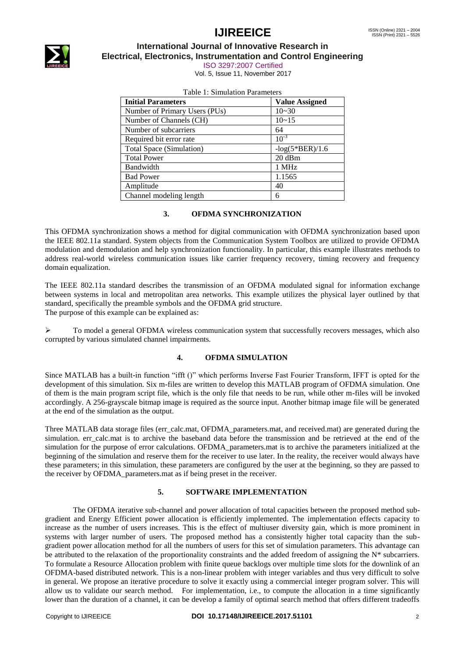

### **International Journal of Innovative Research in Electrical, Electronics, Instrumentation and Control Engineering**

ISO 3297:2007 Certified

Vol. 5, Issue 11, November 2017

| <b>Initial Parameters</b>     | <b>Value Assigned</b> |
|-------------------------------|-----------------------|
| Number of Primary Users (PUs) | $10 - 30$             |
| Number of Channels (CH)       | $10 - 15$             |
| Number of subcarriers         | 64                    |
| Required bit error rate       | $10^{-3}$             |
| Total Space (Simulation)      | $-log(5*BER)/1.6$     |
| <b>Total Power</b>            | 20 dBm                |
| Bandwidth                     | 1 MHz                 |
| <b>Bad Power</b>              | 1.1565                |
| Amplitude                     | 40                    |
| Channel modeling length       | 6                     |

|  | Table 1: Simulation Parameters |
|--|--------------------------------|
|--|--------------------------------|

### **3. OFDMA SYNCHRONIZATION**

This OFDMA synchronization shows a method for digital communication with OFDMA synchronization based upon the IEEE 802.11a standard. System objects from the Communication System Toolbox are utilized to provide OFDMA modulation and demodulation and help synchronization functionality. In particular, this example illustrates methods to address real-world wireless communication issues like carrier frequency recovery, timing recovery and frequency domain equalization.

The IEEE 802.11a standard describes the transmission of an OFDMA modulated signal for information exchange between systems in local and metropolitan area networks. This example utilizes the physical layer outlined by that standard, specifically the preamble symbols and the OFDMA grid structure. The purpose of this example can be explained as:

 $\triangleright$  To model a general OFDMA wireless communication system that successfully recovers messages, which also corrupted by various simulated channel impairments.

### **4. OFDMA SIMULATION**

Since MATLAB has a built-in function "ifft ()" which performs Inverse Fast Fourier Transform, IFFT is opted for the development of this simulation. Six m-files are written to develop this MATLAB program of OFDMA simulation. One of them is the main program script file, which is the only file that needs to be run, while other m-files will be invoked accordingly. A 256-grayscale bitmap image is required as the source input. Another bitmap image file will be generated at the end of the simulation as the output.

Three MATLAB data storage files (err\_calc.mat, OFDMA\_parameters.mat, and received.mat) are generated during the simulation. err\_calc.mat is to archive the baseband data before the transmission and be retrieved at the end of the simulation for the purpose of error calculations. OFDMA\_parameters.mat is to archive the parameters initialized at the beginning of the simulation and reserve them for the receiver to use later. In the reality, the receiver would always have these parameters; in this simulation, these parameters are configured by the user at the beginning, so they are passed to the receiver by OFDMA\_parameters.mat as if being preset in the receiver.

### **5. SOFTWARE IMPLEMENTATION**

The OFDMA iterative sub-channel and power allocation of total capacities between the proposed method subgradient and Energy Efficient power allocation is efficiently implemented. The implementation effects capacity to increase as the number of users increases. This is the effect of multiuser diversity gain, which is more prominent in systems with larger number of users. The proposed method has a consistently higher total capacity than the subgradient power allocation method for all the numbers of users for this set of simulation parameters. This advantage can be attributed to the relaxation of the proportionality constraints and the added freedom of assigning the  $N^*$  subcarriers. To formulate a Resource Allocation problem with finite queue backlogs over multiple time slots for the downlink of an OFDMA-based distributed network. This is a non-linear problem with integer variables and thus very difficult to solve in general. We propose an iterative procedure to solve it exactly using a commercial integer program solver. This will allow us to validate our search method. For implementation, i.e., to compute the allocation in a time significantly lower than the duration of a channel, it can be develop a family of optimal search method that offers different tradeoffs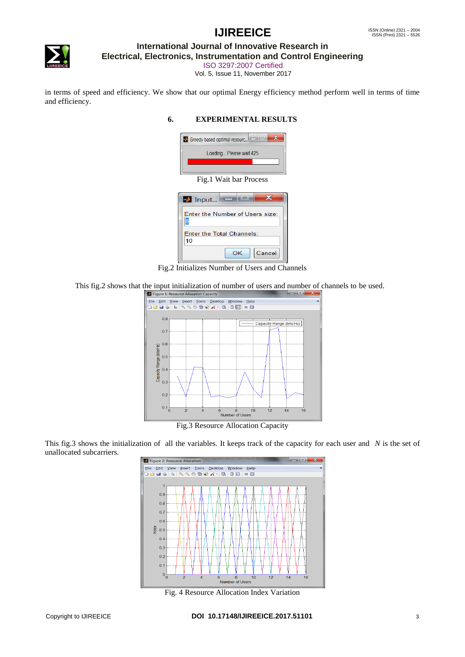

### **International Journal of Innovative Research in**

**Electrical, Electronics, Instrumentation and Control Engineering**

ISO 3297:2007 Certified

Vol. 5, Issue 11, November 2017

in terms of speed and efficiency. We show that our optimal Energy efficiency method perform well in terms of time and efficiency.

### **6. EXPERIMENTAL RESULTS**

|                         | State Greedy based optimal resourc |  |  |  |
|-------------------------|------------------------------------|--|--|--|
| Loading Please wait 425 |                                    |  |  |  |
|                         |                                    |  |  |  |
|                         |                                    |  |  |  |
|                         |                                    |  |  |  |
|                         | Fig.1 Wait bar Process             |  |  |  |
|                         | $\blacksquare$ Input               |  |  |  |

| Enter the Number of Users size:        |
|----------------------------------------|
| <b>Enter the Total Channels:</b><br>10 |
| Cancel<br>OK.                          |

Fig.2 Initializes Number of Users and Channels

This fig. 2 shows that the input initialization of number of users and number of channels to be used.



Fig.3 Resource Allocation Capacity

This fig.3 shows the initialization of all the variables. It keeps track of the capacity for each user and *N* is the set of unallocated subcarriers.



Fig. 4 Resource Allocation Index Variation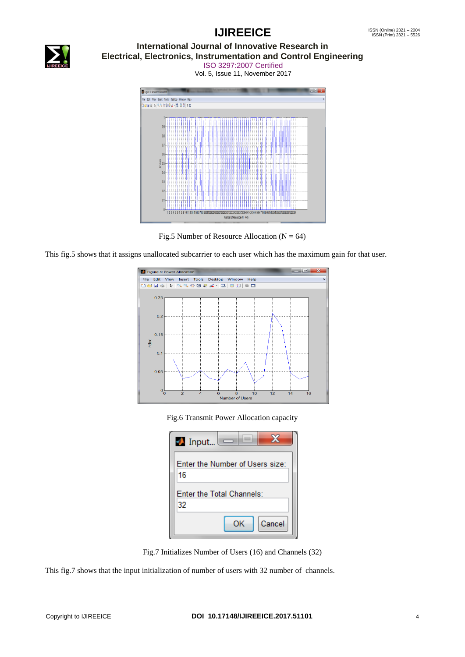### ISSN (Online) 2321 - 2004<br>ISSN (Print) 2321 - 5526

# **IJIREEICE**



### **International Journal of Innovative Research in Electrical, Electronics, Instrumentation and Control Engineering**

ISO 3297:2007 Certified Vol. 5, Issue 11, November 2017



Fig.5 Number of Resource Allocation ( $N = 64$ )

This fig.5 shows that it assigns unallocated subcarrier to each user which has the maximum gain for that user.



Fig.6 Transmit Power Allocation capacity

| $\blacksquare$ Input<br>$\overline{\phantom{0}}$ |
|--------------------------------------------------|
| Enter the Number of Users size:<br>16            |
| Enter the Total Channels:<br>32                  |
| Cancel<br>OK.                                    |

Fig.7 Initializes Number of Users (16) and Channels (32)

This fig.7 shows that the input initialization of number of users with 32 number of channels.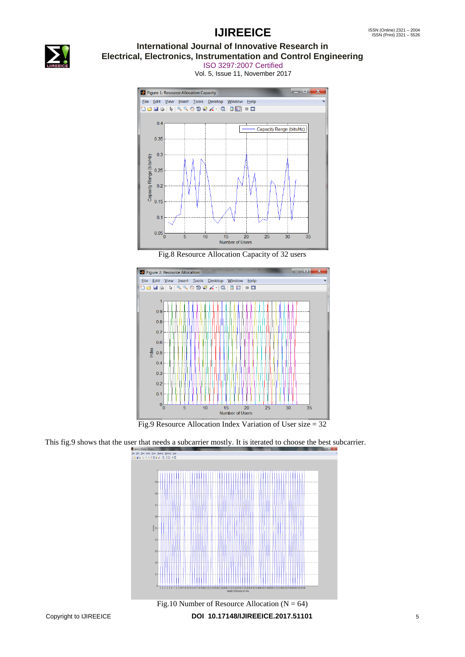

### **International Journal of Innovative Research in Electrical, Electronics, Instrumentation and Control Engineering**

ISO 3297:2007 Certified Vol. 5, Issue 11, November 2017



Fig.8 Resource Allocation Capacity of 32 users



Fig.9 Resource Allocation Index Variation of User size = 32

This fig.9 shows that the user that needs a subcarrier mostly. It is iterated to choose the best subcarrier.

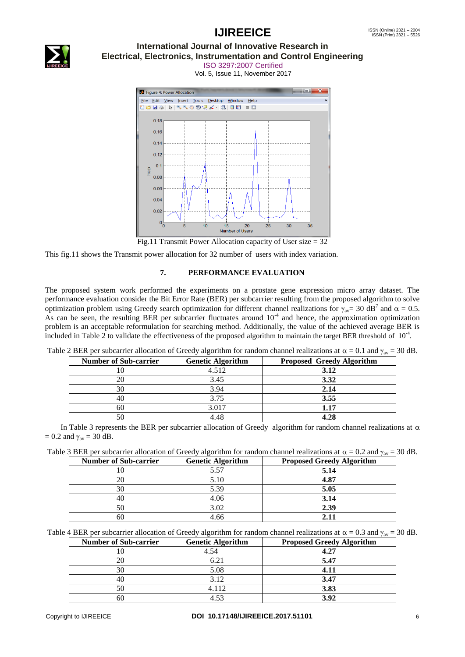

### **International Journal of Innovative Research in Electrical, Electronics, Instrumentation and Control Engineering**

ISO 3297:2007 Certified Vol. 5, Issue 11, November 2017



Fig.11 Transmit Power Allocation capacity of User size = 32

This fig.11 shows the Transmit power allocation for 32 number of users with index variation.

### **7. PERFORMANCE EVALUATION**

The proposed system work performed the experiments on a prostate gene expression micro array dataset. The performance evaluation consider the Bit Error Rate (BER) per subcarrier resulting from the proposed algorithm to solve optimization problem using Greedy search optimization for different channel realizations for  $\gamma_{av}= 30$  dB<sup>7</sup> and  $\alpha = 0.5$ . As can be seen, the resulting BER per subcarrier fluctuates around  $10^{-4}$  and hence, the approximation optimization problem is an acceptable reformulation for searching method. Additionally, the value of the achieved average BER is included in Table 2 to validate the effectiveness of the proposed algorithm to maintain the target BER threshold of  $10^{-4}$ .

| <b>Number of Sub-carrier</b> | <b>Genetic Algorithm</b> | <b>Proposed Greedy Algorithm</b> |
|------------------------------|--------------------------|----------------------------------|
|                              | 4.512                    | 3.12                             |
| 20                           | 3.45                     | 3.32                             |
| 30                           | 3.94                     | 2.14                             |
| 40                           | 3.75                     | 3.55                             |
| 60                           | 3.017                    | 1.17                             |
|                              | 4.48                     | 4.28                             |

Table 2 BER per subcarrier allocation of Greedy algorithm for random channel realizations at  $\alpha = 0.1$  and  $\gamma_{av} = 30$  dB.

In Table 3 represents the BER per subcarrier allocation of Greedy algorithm for random channel realizations at  $\alpha$  $= 0.2$  and  $\gamma_{\text{av}} = 30$  dB.

|  |  | Table 3 BER per subcarrier allocation of Greedy algorithm for random channel realizations at $\alpha = 0.2$ and $\gamma_{av} = 30$ dB. |  |  |  |  |  |
|--|--|----------------------------------------------------------------------------------------------------------------------------------------|--|--|--|--|--|
|--|--|----------------------------------------------------------------------------------------------------------------------------------------|--|--|--|--|--|

| <b>Number of Sub-carrier</b> | <b>Genetic Algorithm</b> | <b>Proposed Greedy Algorithm</b> |
|------------------------------|--------------------------|----------------------------------|
|                              | 5.57                     | 5.14                             |
|                              | 5.10                     | 4.87                             |
| 30                           | 5.39                     | 5.05                             |
|                              | 4.06                     | 3.14                             |
|                              | 3.02                     | 2.39                             |
| hU                           | 4.66                     |                                  |

Table 4 BER per subcarrier allocation of Greedy algorithm for random channel realizations at  $\alpha = 0.3$  and  $\gamma_{av} = 30$  dB.

| <b>Number of Sub-carrier</b> | <b>Genetic Algorithm</b> | <b>Proposed Greedy Algorithm</b> |
|------------------------------|--------------------------|----------------------------------|
|                              | 4.54                     | 4.27                             |
|                              | 6.21                     | 5.47                             |
| 30                           | 5.08                     |                                  |
|                              | 3.12                     | 3.47                             |
| 50                           | 4.112                    | 3.83                             |
| 60                           | 153                      | 3.92                             |